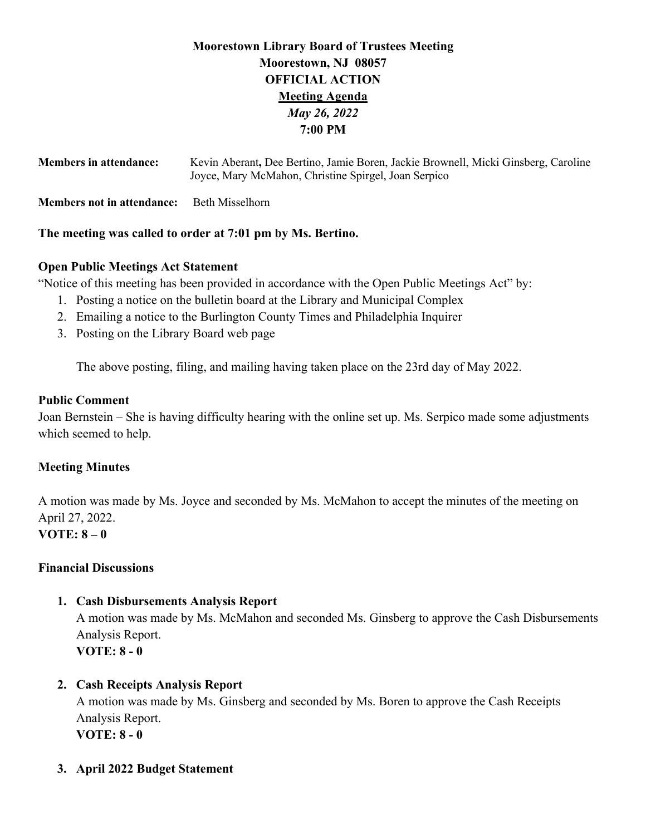# **Moorestown Library Board of Trustees Meeting Moorestown, NJ 08057 OFFICIAL ACTION Meeting Agenda** *May 26, 2022* **7:00 PM**

| <b>Members in attendance:</b>                              | Kevin Aberant, Dee Bertino, Jamie Boren, Jackie Brownell, Micki Ginsberg, Caroline<br>Joyce, Mary McMahon, Christine Spirgel, Joan Serpico |  |
|------------------------------------------------------------|--------------------------------------------------------------------------------------------------------------------------------------------|--|
| <b>Members not in attendance:</b>                          | Beth Misselhorn                                                                                                                            |  |
| The meeting was called to order at 7:01 pm by Ms. Bertino. |                                                                                                                                            |  |

## **Open Public Meetings Act Statement**

"Notice of this meeting has been provided in accordance with the Open Public Meetings Act" by:

- 1. Posting a notice on the bulletin board at the Library and Municipal Complex
- 2. Emailing a notice to the Burlington County Times and Philadelphia Inquirer
- 3. Posting on the Library Board web page

The above posting, filing, and mailing having taken place on the 23rd day of May 2022.

## **Public Comment**

Joan Bernstein – She is having difficulty hearing with the online set up. Ms. Serpico made some adjustments which seemed to help.

## **Meeting Minutes**

A motion was made by Ms. Joyce and seconded by Ms. McMahon to accept the minutes of the meeting on April 27, 2022. **VOTE: 8 – 0** 

## **Financial Discussions**

## **1. Cash Disbursements Analysis Report**

A motion was made by Ms. McMahon and seconded Ms. Ginsberg to approve the Cash Disbursements Analysis Report. **VOTE: 8 - 0**

## **2. Cash Receipts Analysis Report**

A motion was made by Ms. Ginsberg and seconded by Ms. Boren to approve the Cash Receipts Analysis Report. **VOTE: 8 - 0**

**3. April 2022 Budget Statement**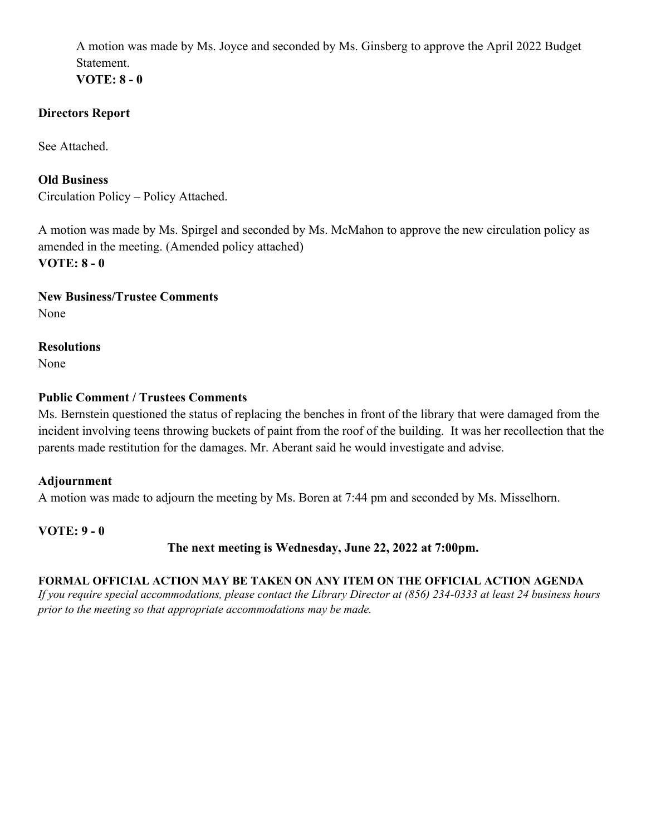A motion was made by Ms. Joyce and seconded by Ms. Ginsberg to approve the April 2022 Budget Statement.

**VOTE: 8 - 0**

## **Directors Report**

See Attached.

**Old Business** Circulation Policy – Policy Attached.

A motion was made by Ms. Spirgel and seconded by Ms. McMahon to approve the new circulation policy as amended in the meeting. (Amended policy attached) **VOTE: 8 - 0**

**New Business/Trustee Comments** None

**Resolutions** None

## **Public Comment / Trustees Comments**

Ms. Bernstein questioned the status of replacing the benches in front of the library that were damaged from the incident involving teens throwing buckets of paint from the roof of the building. It was her recollection that the parents made restitution for the damages. Mr. Aberant said he would investigate and advise.

## **Adjournment**

A motion was made to adjourn the meeting by Ms. Boren at 7:44 pm and seconded by Ms. Misselhorn.

**VOTE: 9 - 0** 

## **The next meeting is Wednesday, June 22, 2022 at 7:00pm.**

## **FORMAL OFFICIAL ACTION MAY BE TAKEN ON ANY ITEM ON THE OFFICIAL ACTION AGENDA**

*If you require special accommodations, please contact the Library Director at (856) 234-0333 at least 24 business hours prior to the meeting so that appropriate accommodations may be made.*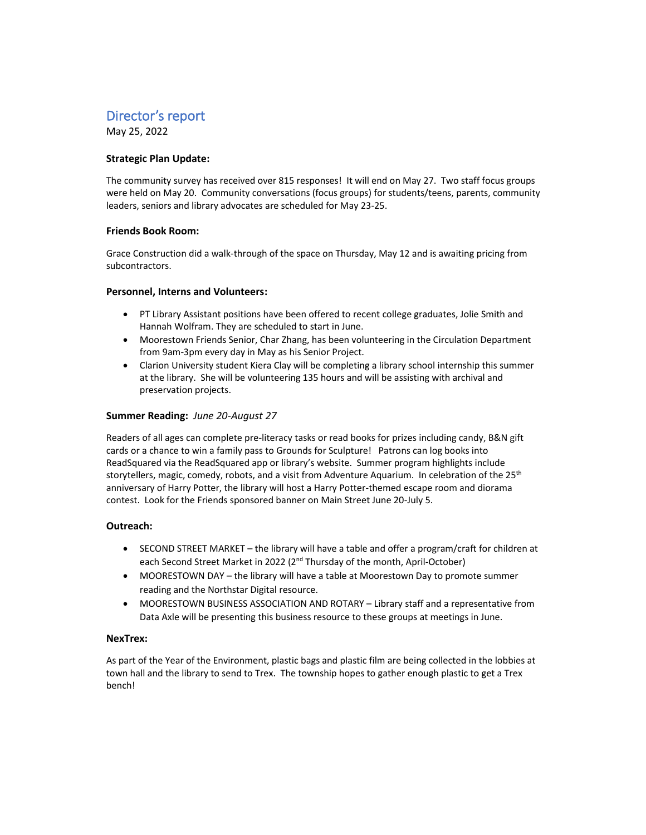# Director's report

May 25, 2022

## **Strategic Plan Update:**

The community survey has received over 815 responses! It will end on May 27. Two staff focus groups were held on May 20. Community conversations (focus groups) for students/teens, parents, community leaders, seniors and library advocates are scheduled for May 23-25.

## **Friends Book Room:**

Grace Construction did a walk-through of the space on Thursday, May 12 and is awaiting pricing from subcontractors.

### **Personnel, Interns and Volunteers:**

- PT Library Assistant positions have been offered to recent college graduates, Jolie Smith and Hannah Wolfram. They are scheduled to start in June.
- Moorestown Friends Senior, Char Zhang, has been volunteering in the Circulation Department from 9am-3pm every day in May as his Senior Project.
- Clarion University student Kiera Clay will be completing a library school internship this summer at the library. She will be volunteering 135 hours and will be assisting with archival and preservation projects.

### **Summer Reading:** *June 20-August 27*

Readers of all ages can complete pre-literacy tasks or read books for prizes including candy, B&N gift cards or a chance to win a family pass to Grounds for Sculpture! Patrons can log books into ReadSquared via the ReadSquared app or library's website. Summer program highlights include storytellers, magic, comedy, robots, and a visit from Adventure Aquarium. In celebration of the 25<sup>th</sup> anniversary of Harry Potter, the library will host a Harry Potter-themed escape room and diorama contest. Look for the Friends sponsored banner on Main Street June 20-July 5.

## **Outreach:**

- SECOND STREET MARKET the library will have a table and offer a program/craft for children at each Second Street Market in 2022 (2<sup>nd</sup> Thursday of the month, April-October)
- MOORESTOWN DAY the library will have a table at Moorestown Day to promote summer reading and the Northstar Digital resource.
- MOORESTOWN BUSINESS ASSOCIATION AND ROTARY Library staff and a representative from Data Axle will be presenting this business resource to these groups at meetings in June.

## **NexTrex:**

As part of the Year of the Environment, plastic bags and plastic film are being collected in the lobbies at town hall and the library to send to Trex. The township hopes to gather enough plastic to get a Trex bench!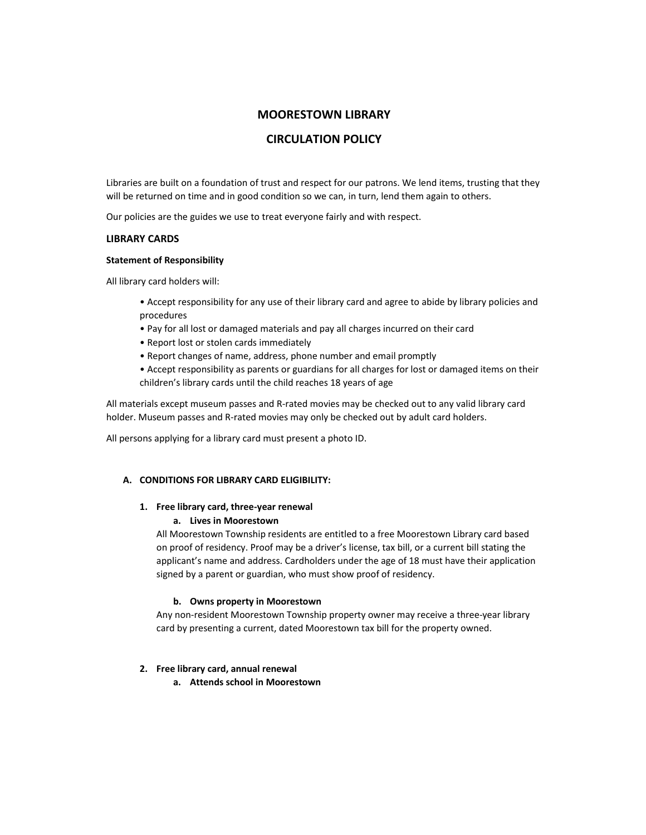## **MOORESTOWN LIBRARY**

## **CIRCULATION POLICY**

Libraries are built on a foundation of trust and respect for our patrons. We lend items, trusting that they will be returned on time and in good condition so we can, in turn, lend them again to others.

Our policies are the guides we use to treat everyone fairly and with respect.

### **LIBRARY CARDS**

### **Statement of Responsibility**

All library card holders will:

- Accept responsibility for any use of their library card and agree to abide by library policies and procedures
- Pay for all lost or damaged materials and pay all charges incurred on their card
- Report lost or stolen cards immediately
- Report changes of name, address, phone number and email promptly
- Accept responsibility as parents or guardians for all charges for lost or damaged items on their children's library cards until the child reaches 18 years of age

All materials except museum passes and R-rated movies may be checked out to any valid library card holder. Museum passes and R-rated movies may only be checked out by adult card holders.

All persons applying for a library card must present a photo ID.

## **A. CONDITIONS FOR LIBRARY CARD ELIGIBILITY:**

## **1. Free library card, three-year renewal**

## **a. Lives in Moorestown**

All Moorestown Township residents are entitled to a free Moorestown Library card based on proof of residency. Proof may be a driver's license, tax bill, or a current bill stating the applicant's name and address. Cardholders under the age of 18 must have their application signed by a parent or guardian, who must show proof of residency.

## **b. Owns property in Moorestown**

Any non-resident Moorestown Township property owner may receive a three-year library card by presenting a current, dated Moorestown tax bill for the property owned.

## **2. Free library card, annual renewal**

**a. Attends school in Moorestown**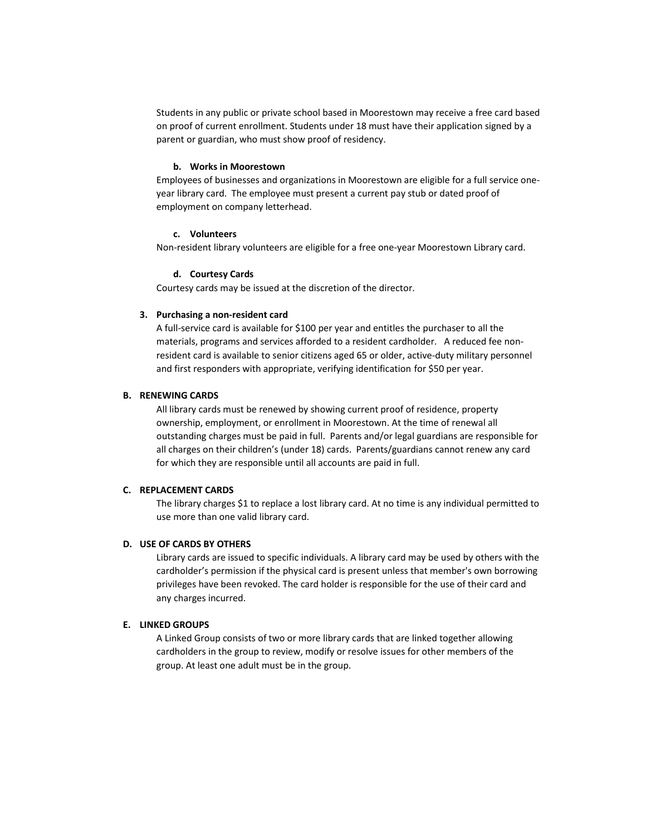Students in any public or private school based in Moorestown may receive a free card based on proof of current enrollment. Students under 18 must have their application signed by a parent or guardian, who must show proof of residency.

#### **b. Works in Moorestown**

Employees of businesses and organizations in Moorestown are eligible for a full service oneyear library card. The employee must present a current pay stub or dated proof of employment on company letterhead.

### **c. Volunteers**

Non-resident library volunteers are eligible for a free one-year Moorestown Library card.

#### **d. Courtesy Cards**

Courtesy cards may be issued at the discretion of the director.

#### **3. Purchasing a non-resident card**

A full-service card is available for \$100 per year and entitles the purchaser to all the materials, programs and services afforded to a resident cardholder. A reduced fee nonresident card is available to senior citizens aged 65 or older, active-duty military personnel and first responders with appropriate, verifying identification for \$50 per year.

#### **B. RENEWING CARDS**

All library cards must be renewed by showing current proof of residence, property ownership, employment, or enrollment in Moorestown. At the time of renewal all outstanding charges must be paid in full. Parents and/or legal guardians are responsible for all charges on their children's (under 18) cards. Parents/guardians cannot renew any card for which they are responsible until all accounts are paid in full.

### **C. REPLACEMENT CARDS**

The library charges \$1 to replace a lost library card. At no time is any individual permitted to use more than one valid library card.

#### **D. USE OF CARDS BY OTHERS**

Library cards are issued to specific individuals. A library card may be used by others with the cardholder's permission if the physical card is present unless that member's own borrowing privileges have been revoked. The card holder is responsible for the use of their card and any charges incurred.

## **E. LINKED GROUPS**

A Linked Group consists of two or more library cards that are linked together allowing cardholders in the group to review, modify or resolve issues for other members of the group. At least one adult must be in the group.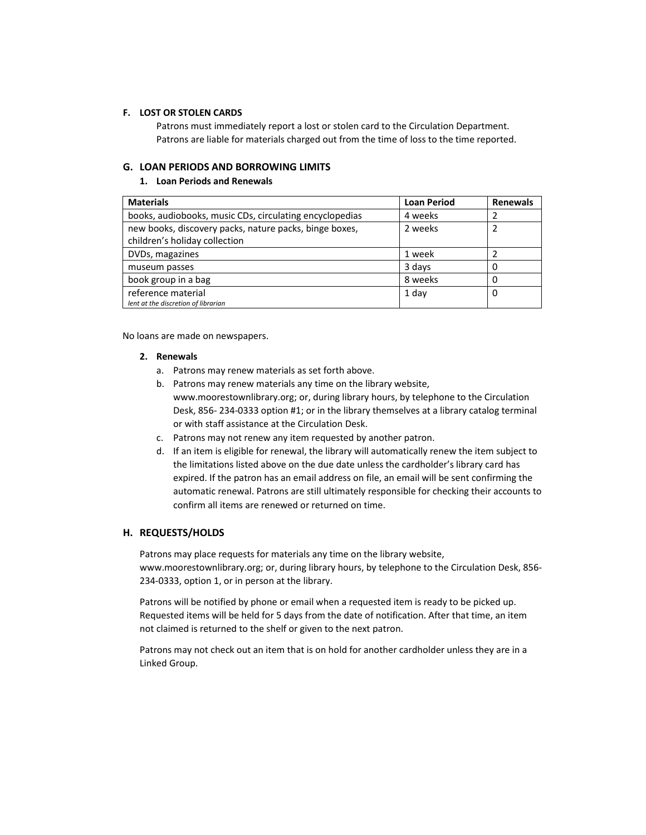### **F. LOST OR STOLEN CARDS**

Patrons must immediately report a lost or stolen card to the Circulation Department. Patrons are liable for materials charged out from the time of loss to the time reported.

### **G. LOAN PERIODS AND BORROWING LIMITS**

#### **1. Loan Periods and Renewals**

| <b>Materials</b>                                        | <b>Loan Period</b> | <b>Renewals</b> |
|---------------------------------------------------------|--------------------|-----------------|
| books, audiobooks, music CDs, circulating encyclopedias | 4 weeks            |                 |
| new books, discovery packs, nature packs, binge boxes,  | 2 weeks            |                 |
| children's holiday collection                           |                    |                 |
| DVDs, magazines                                         | 1 week             |                 |
| museum passes                                           | 3 days             |                 |
| book group in a bag                                     | 8 weeks            |                 |
| reference material                                      | 1 day              | 0               |
| lent at the discretion of librarian                     |                    |                 |

No loans are made on newspapers.

#### **2. Renewals**

- a. Patrons may renew materials as set forth above.
- b. Patrons may renew materials any time on the library website, www.moorestownlibrary.org; or, during library hours, by telephone to the Circulation Desk, 856- 234-0333 option #1; or in the library themselves at a library catalog terminal or with staff assistance at the Circulation Desk.
- c. Patrons may not renew any item requested by another patron.
- d. If an item is eligible for renewal, the library will automatically renew the item subject to the limitations listed above on the due date unless the cardholder's library card has expired. If the patron has an email address on file, an email will be sent confirming the automatic renewal. Patrons are still ultimately responsible for checking their accounts to confirm all items are renewed or returned on time.

### **H. REQUESTS/HOLDS**

Patrons may place requests for materials any time on the library website, www.moorestownlibrary.org; or, during library hours, by telephone to the Circulation Desk, 856- 234-0333, option 1, or in person at the library.

Patrons will be notified by phone or email when a requested item is ready to be picked up. Requested items will be held for 5 days from the date of notification. After that time, an item not claimed is returned to the shelf or given to the next patron.

Patrons may not check out an item that is on hold for another cardholder unless they are in a Linked Group.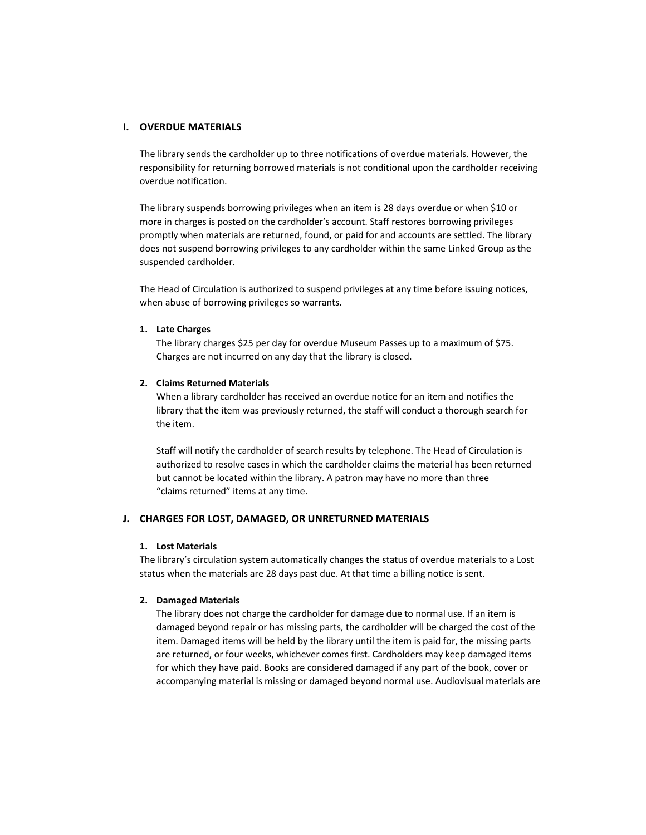### **I. OVERDUE MATERIALS**

The library sends the cardholder up to three notifications of overdue materials. However, the responsibility for returning borrowed materials is not conditional upon the cardholder receiving overdue notification.

The library suspends borrowing privileges when an item is 28 days overdue or when \$10 or more in charges is posted on the cardholder's account. Staff restores borrowing privileges promptly when materials are returned, found, or paid for and accounts are settled. The library does not suspend borrowing privileges to any cardholder within the same Linked Group as the suspended cardholder.

The Head of Circulation is authorized to suspend privileges at any time before issuing notices, when abuse of borrowing privileges so warrants.

#### **1. Late Charges**

The library charges \$25 per day for overdue Museum Passes up to a maximum of \$75. Charges are not incurred on any day that the library is closed.

#### **2. Claims Returned Materials**

When a library cardholder has received an overdue notice for an item and notifies the library that the item was previously returned, the staff will conduct a thorough search for the item.

Staff will notify the cardholder of search results by telephone. The Head of Circulation is authorized to resolve cases in which the cardholder claims the material has been returned but cannot be located within the library. A patron may have no more than three "claims returned" items at any time.

### **J. CHARGES FOR LOST, DAMAGED, OR UNRETURNED MATERIALS**

#### **1. Lost Materials**

The library's circulation system automatically changes the status of overdue materials to a Lost status when the materials are 28 days past due. At that time a billing notice is sent.

#### **2. Damaged Materials**

The library does not charge the cardholder for damage due to normal use. If an item is damaged beyond repair or has missing parts, the cardholder will be charged the cost of the item. Damaged items will be held by the library until the item is paid for, the missing parts are returned, or four weeks, whichever comes first. Cardholders may keep damaged items for which they have paid. Books are considered damaged if any part of the book, cover or accompanying material is missing or damaged beyond normal use. Audiovisual materials are